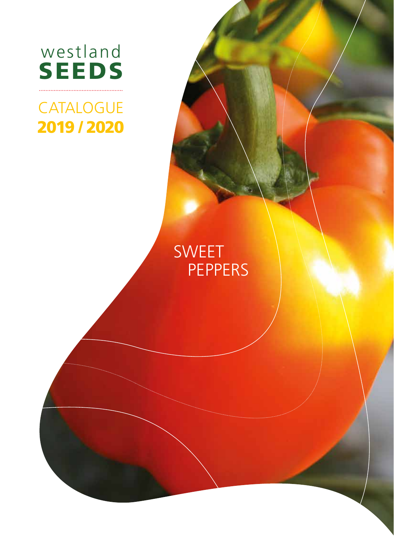

# **CATALOGUE** 2019 / 2020

SEEDS IN

westland in the control of the control of the control of the control of the control of the control of the control of the control of the control of the control of the control of the control of the control of the control of

# SWEET **PEPPERS**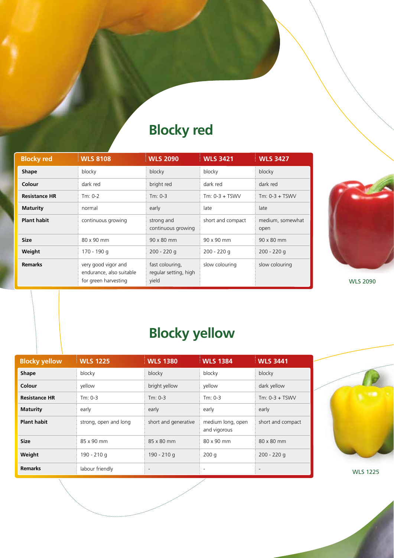## **Blocky red**

| <b>Blocky red</b>    | <b>WLS 8108</b>                                                         | <b>WLS 2090</b>                                   | <b>WLS 3421</b>   | <b>WLS 3427</b>          |
|----------------------|-------------------------------------------------------------------------|---------------------------------------------------|-------------------|--------------------------|
| <b>Shape</b>         | blocky                                                                  | blocky                                            | blocky            | blocky                   |
| Colour               | dark red                                                                | bright red                                        | dark red          | dark red                 |
| <b>Resistance HR</b> | $Tm: 0-2$                                                               | $Tm: 0-3$                                         | $Tm: 0-3 + TSWV$  | $Tm: 0-3 + TSWV$         |
| <b>Maturity</b>      | normal                                                                  | early                                             | late              | late                     |
| <b>Plant habit</b>   | continuous growing                                                      | strong and<br>continuous growing                  | short and compact | medium, somewhat<br>open |
| <b>Size</b>          | 80 x 90 mm                                                              | 90 x 80 mm                                        | 90 x 90 mm        | $90 \times 80$ mm        |
| Weight               | 170 - 190 g                                                             | $200 - 220$ g                                     | $200 - 220q$      | $200 - 220q$             |
| <b>Remarks</b>       | very good vigor and<br>endurance, also suitable<br>for green harvesting | fast colouring,<br>regular setting, high<br>yield | slow colouring    | slow colouring           |



WLS 2090

## **Blocky yellow**

| <b>Blocky yellow</b> | <b>WLS 1225</b>       | <b>WLS 1380</b>      | <b>WLS 1384</b>                   | <b>WLS 3441</b>   |
|----------------------|-----------------------|----------------------|-----------------------------------|-------------------|
| <b>Shape</b>         | blocky                | blocky               | blocky                            | blocky            |
| Colour               | yellow                | bright yellow        | yellow                            | dark yellow       |
| <b>Resistance HR</b> | $Tm: 0-3$             | $Tm: 0-3$            | $Tm: 0-3$                         | $Tm: 0-3 + TSWV$  |
| <b>Maturity</b>      | early                 | early                | early                             | early             |
| <b>Plant habit</b>   | strong, open and long | short and generative | medium long, open<br>and vigorous | short and compact |
| <b>Size</b>          | 85 x 90 mm            | 85 x 80 mm           | 80 x 90 mm                        | 80 x 80 mm        |
| Weight               | 190 - 210 g           | 190 - 210 g          | 200q                              | $200 - 220$ g     |
| <b>Remarks</b>       | labour friendly       |                      |                                   |                   |



WLS 1225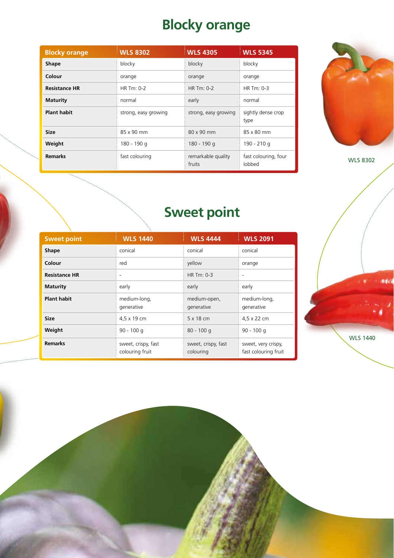# **Blocky orange**

| <b>Blocky orange</b> | <b>WLS 8302</b>      | <b>WLS 4305</b>              | <b>WLS 5345</b>                |
|----------------------|----------------------|------------------------------|--------------------------------|
| <b>Shape</b>         | blocky               | blocky                       | blocky                         |
| Colour               | orange               | orange                       | orange                         |
| <b>Resistance HR</b> | HR Tm: 0-2           | HR Tm: 0-2                   | HR $Tm: 0-3$                   |
| <b>Maturity</b>      | normal               | early                        | normal                         |
| <b>Plant habit</b>   | strong, easy growing | strong, easy growing         | sightly dense crop<br>type     |
| <b>Size</b>          | 85 x 90 mm           | 80 x 90 mm                   | 85 x 80 mm                     |
| Weight               | 180 - 190 g          | 180 - 190 g                  | 190 - 210 g                    |
| <b>Remarks</b>       | fast colouring       | remarkable quality<br>fruits | fast colouring, four<br>lobbed |



WLS 8302

## **Sweet point**

| <b>Sweet point</b>   | <b>WLS 1440</b>                        | <b>WLS 4444</b>                  | <b>WLS 2091</b>                             |
|----------------------|----------------------------------------|----------------------------------|---------------------------------------------|
| <b>Shape</b>         | conical                                | conical                          | conical                                     |
| Colour               | red                                    | yellow                           | orange                                      |
| <b>Resistance HR</b> |                                        | HR $Tm: 0-3$                     | $\overline{\phantom{a}}$                    |
| <b>Maturity</b>      | early                                  | early                            | early                                       |
| <b>Plant habit</b>   | medium-long,<br>generative             | medium-open,<br>generative       | medium-long,<br>generative                  |
| <b>Size</b>          | 4,5 x 19 cm                            | $5 \times 18$ cm                 | 4,5 x 22 cm                                 |
| Weight               | $90 - 100q$                            | $80 - 100q$                      | $90 - 100q$                                 |
| <b>Remarks</b>       | sweet, crispy, fast<br>colouring fruit | sweet, crispy, fast<br>colouring | sweet, very crispy,<br>fast colouring fruit |

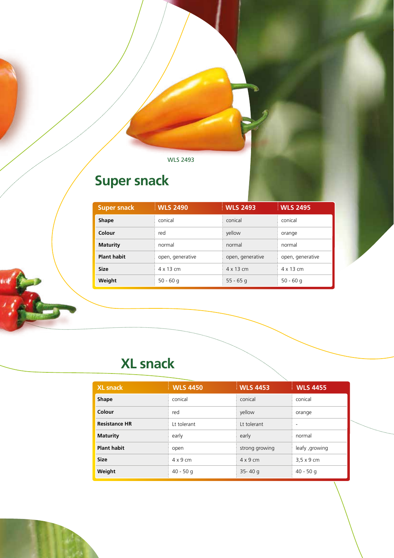WLS 2493

## **Super snack**

| <b>Super snack</b> | <b>WLS 2490</b>  | <b>WLS 2493</b>  | <b>WLS 2495</b>  |
|--------------------|------------------|------------------|------------------|
| <b>Shape</b>       | conical          | conical          | conical          |
| Colour             | red              | yellow           | orange           |
| <b>Maturity</b>    | normal           | normal           | normal           |
| <b>Plant habit</b> | open, generative | open, generative | open, generative |
| <b>Size</b>        | $4 \times 13$ cm | $4 \times 13$ cm | $4 \times 13$ cm |
| Weight             | $50 - 60q$       | $55 - 65$ q      | $50 - 60q$       |

## **XL snack**

| <b>XL snack</b>      | <b>WLS 4450</b> | <b>WLS 4453</b> | <b>WLS 4455</b>   |
|----------------------|-----------------|-----------------|-------------------|
| <b>Shape</b>         | conical         | conical         | conical           |
| Colour               | red             | yellow          | orange            |
| <b>Resistance HR</b> | Lt tolerant     | Lt tolerant     |                   |
| <b>Maturity</b>      | early           | early           | normal            |
| <b>Plant habit</b>   | open            | strong growing  | leafy , growing   |
| <b>Size</b>          | $4 \times 9$ cm | $4 \times 9$ cm | $3.5 \times 9$ cm |
| Weight               | $40 - 50$ g     | $35 - 40q$      | $40 - 50q$        |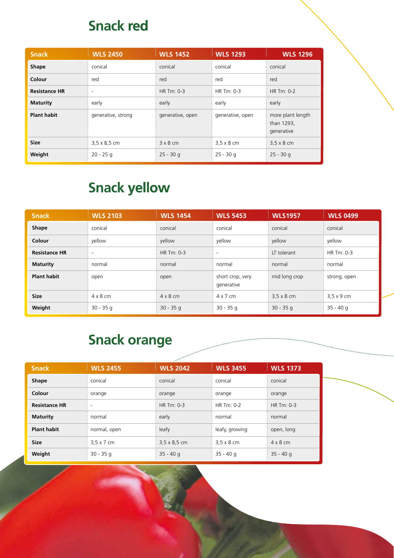#### **Snack red**

| <b>Snack</b>         | <b>WLS 2450</b>          | <b>WLS 1452</b>  | <b>WLS 1293</b>   | <b>WLS 1296</b>                               |
|----------------------|--------------------------|------------------|-------------------|-----------------------------------------------|
| <b>Shape</b>         | conical                  | conical          | conical           | conical                                       |
| Colour               | red                      | red              | red               | red                                           |
| <b>Resistance HR</b> | $\overline{\phantom{a}}$ | HR Tm: 0-3       | HR Tm: 0-3        | HR Tm: 0-2                                    |
| <b>Maturity</b>      | early                    | early            | early             | early                                         |
| <b>Plant habit</b>   | generative, strong       | generative, open | generative, open  | more plant length<br>than 1293,<br>generative |
| <b>Size</b>          | $3.5 \times 8.5$ cm      | $3 \times 8$ cm  | $3.5 \times 8$ cm | $3.5 \times 8$ cm                             |
| Weight               | $20 - 25q$               | $25 - 30$ g      | $25 - 30q$        | $25 - 30$ g                                   |

## **Snack yellow**

| <b>Snack</b>         | <b>WLS 2103</b>          | <b>WLS 1454</b> | <b>WLS 5453</b>                | <b>WLS1957</b>    | <b>WLS 0499</b>   |
|----------------------|--------------------------|-----------------|--------------------------------|-------------------|-------------------|
| Shape                | conical                  | conical         | conical                        | conical           | conical           |
| Colour               | vellow                   | yellow          | yellow                         | yellow            | yellow            |
| <b>Resistance HR</b> | $\overline{\phantom{a}}$ | HR Tm: 0-3      | $\overline{\phantom{a}}$       | LT tolerant       | HR Tm: 0-3        |
| <b>Maturity</b>      | normal                   | normal          | normal                         | normal            | normal            |
| <b>Plant habit</b>   | open                     | open            | short crop, very<br>generative | mid long crop     | strong, open      |
| <b>Size</b>          | $4 \times 8$ cm          | $4 \times 8$ cm | $4 \times 7$ cm                | $3.5 \times 8$ cm | $3.5 \times 9$ cm |
| Weight               | $30 - 35q$               | $30 - 35q$      | $30 - 35q$                     | $30 - 35q$        | $35 - 40q$        |

#### **Snack orange**

|                      |                          | a politica          |                   |                 |
|----------------------|--------------------------|---------------------|-------------------|-----------------|
| <b>Snack</b>         | <b>WLS 2455</b>          | <b>WLS 2042</b>     | <b>WLS 3455</b>   | <b>WLS 1373</b> |
| <b>Shape</b>         | conical                  | conical             | conical           | conical         |
| Colour               | orange                   | orange              | orange            | orange          |
| <b>Resistance HR</b> | $\overline{\phantom{a}}$ | HR Tm: 0-3          | HR Tm: 0-2        | HR Tm: 0-3      |
| <b>Maturity</b>      | normal                   | early               | normal            | normal          |
| <b>Plant habit</b>   | normal, open             | leafy               | leafy, growing    | open, long      |
| <b>Size</b>          | $3.5 \times 7$ cm        | $3,5 \times 8,5$ cm | $3.5 \times 8$ cm | $4 \times 8$ cm |
| Weight               | $30 - 35q$               | $35 - 40q$          | $35 - 40q$        | $35 - 40q$      |